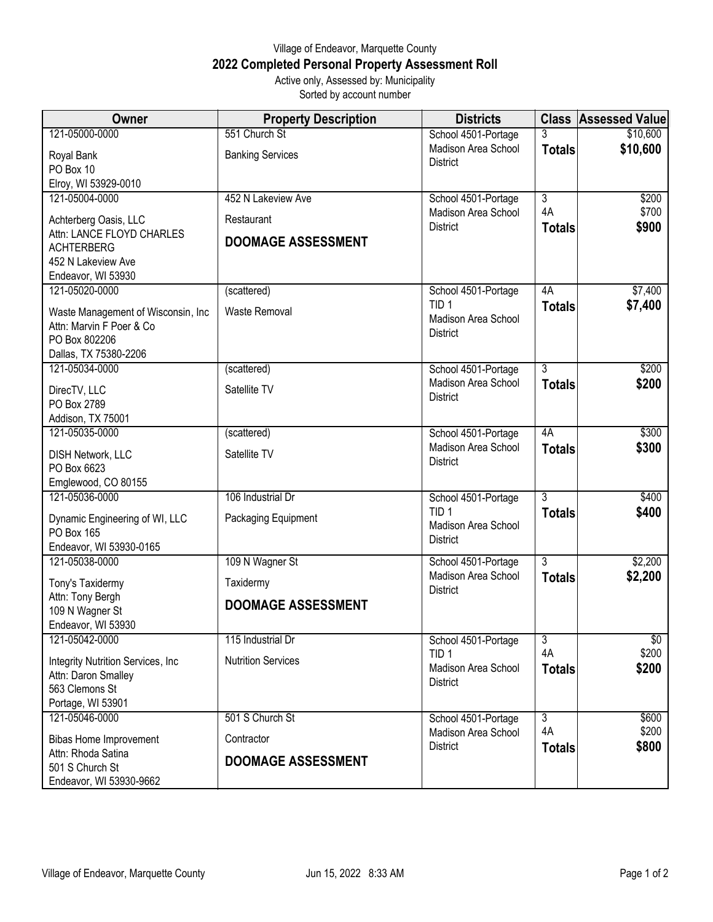## Village of Endeavor, Marquette County **2022 Completed Personal Property Assessment Roll** Active only, Assessed by: Municipality

Sorted by account number

| <b>Owner</b>                                                                                             | <b>Property Description</b> | <b>Districts</b>                                           |                     | <b>Class Assessed Value</b> |
|----------------------------------------------------------------------------------------------------------|-----------------------------|------------------------------------------------------------|---------------------|-----------------------------|
| 121-05000-0000                                                                                           | 551 Church St               | School 4501-Portage                                        | 3                   | \$10,600                    |
| Royal Bank<br>PO Box 10                                                                                  | <b>Banking Services</b>     | Madison Area School<br><b>District</b>                     | <b>Totals</b>       | \$10,600                    |
| Elroy, WI 53929-0010<br>121-05004-0000                                                                   | 452 N Lakeview Ave          | School 4501-Portage                                        | 3                   | \$200                       |
| Achterberg Oasis, LLC                                                                                    | Restaurant                  | Madison Area School                                        | 4A                  | \$700                       |
| Attn: LANCE FLOYD CHARLES<br><b>ACHTERBERG</b><br>452 N Lakeview Ave<br>Endeavor, WI 53930               | <b>DOOMAGE ASSESSMENT</b>   | <b>District</b>                                            | <b>Totals</b>       | \$900                       |
| 121-05020-0000                                                                                           | (scattered)                 | School 4501-Portage                                        | 4A                  | \$7,400                     |
| Waste Management of Wisconsin, Inc<br>Attn: Marvin F Poer & Co<br>PO Box 802206<br>Dallas, TX 75380-2206 | Waste Removal               | TID <sub>1</sub><br>Madison Area School<br><b>District</b> | <b>Totals</b>       | \$7,400                     |
| 121-05034-0000                                                                                           | (scattered)                 | School 4501-Portage                                        | $\overline{3}$      | \$200                       |
| DirecTV, LLC<br>PO Box 2789<br>Addison, TX 75001                                                         | Satellite TV                | Madison Area School<br><b>District</b>                     | <b>Totals</b>       | \$200                       |
| 121-05035-0000                                                                                           | (scattered)                 | School 4501-Portage                                        | 4A                  | \$300                       |
| DISH Network, LLC<br>PO Box 6623<br>Emglewood, CO 80155                                                  | Satellite TV                | Madison Area School<br><b>District</b>                     | <b>Totals</b>       | \$300                       |
| 121-05036-0000                                                                                           | 106 Industrial Dr           | School 4501-Portage                                        | 3                   | \$400                       |
| Dynamic Engineering of WI, LLC<br>PO Box 165<br>Endeavor, WI 53930-0165                                  | Packaging Equipment         | TID <sub>1</sub><br>Madison Area School<br><b>District</b> | <b>Totals</b>       | \$400                       |
| 121-05038-0000                                                                                           | 109 N Wagner St             | School 4501-Portage                                        | $\overline{3}$      | \$2,200                     |
| Tony's Taxidermy                                                                                         | Taxidermy                   | Madison Area School<br><b>District</b>                     | <b>Totals</b>       | \$2,200                     |
| Attn: Tony Bergh<br>109 N Wagner St<br>Endeavor, WI 53930                                                | <b>DOOMAGE ASSESSMENT</b>   |                                                            |                     |                             |
| 121-05042-0000                                                                                           | 115 Industrial Dr           | School 4501-Portage                                        | $\overline{3}$      | $\sqrt{$0}$                 |
| Integrity Nutrition Services, Inc.<br>Attn: Daron Smalley<br>563 Clemons St                              | <b>Nutrition Services</b>   | TID <sub>1</sub><br>Madison Area School<br>District        | 4A<br><b>Totals</b> | \$200<br>\$200              |
| Portage, WI 53901<br>121-05046-0000                                                                      | 501 S Church St             | School 4501-Portage                                        | $\overline{3}$      | \$600                       |
| <b>Bibas Home Improvement</b><br>Attn: Rhoda Satina                                                      | Contractor                  | Madison Area School<br><b>District</b>                     | 4A<br><b>Totals</b> | \$200<br>\$800              |
| 501 S Church St<br>Endeavor, WI 53930-9662                                                               | <b>DOOMAGE ASSESSMENT</b>   |                                                            |                     |                             |